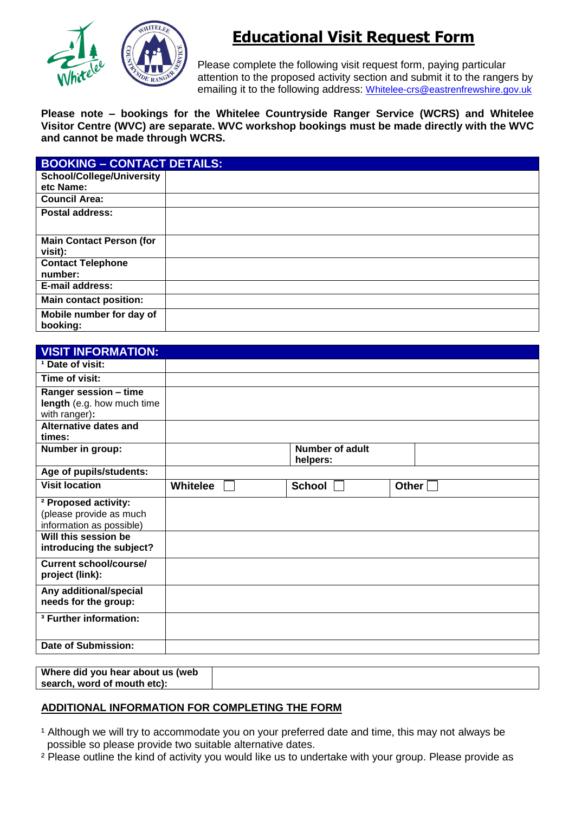

# **Educational Visit Request Form**

Please complete the following visit request form, paying particular attention to the proposed activity section and submit it to the rangers by emailing it to the following address: [Whitelee-crs@eastrenfrewshire.gov.uk](mailto:Whitelee-crs@eastrenfrewshire.gov.uk)

**Please note – bookings for the Whitelee Countryside Ranger Service (WCRS) and Whitelee Visitor Centre (WVC) are separate. WVC workshop bookings must be made directly with the WVC and cannot be made through WCRS.**

| <b>BOOKING - CONTACT DETAILS:</b>          |  |
|--------------------------------------------|--|
| <b>School/College/University</b>           |  |
| etc Name:                                  |  |
| <b>Council Area:</b>                       |  |
| Postal address:                            |  |
| <b>Main Contact Person (for</b><br>visit): |  |
| <b>Contact Telephone</b><br>number:        |  |
| <b>E-mail address:</b>                     |  |
| <b>Main contact position:</b>              |  |
| Mobile number for day of<br>booking:       |  |

| <sup>1</sup> Date of visit:       |                 |                        |              |
|-----------------------------------|-----------------|------------------------|--------------|
| Time of visit:                    |                 |                        |              |
| Ranger session - time             |                 |                        |              |
| length (e.g. how much time        |                 |                        |              |
| with ranger):                     |                 |                        |              |
| <b>Alternative dates and</b>      |                 |                        |              |
| times:                            |                 |                        |              |
| Number in group:                  |                 | <b>Number of adult</b> |              |
|                                   |                 | helpers:               |              |
| Age of pupils/students:           |                 |                        |              |
| <b>Visit location</b>             | <b>Whitelee</b> | <b>School</b>          | Other $\Box$ |
| <sup>2</sup> Proposed activity:   |                 |                        |              |
| (please provide as much           |                 |                        |              |
| information as possible)          |                 |                        |              |
| Will this session be              |                 |                        |              |
| introducing the subject?          |                 |                        |              |
| <b>Current school/course/</b>     |                 |                        |              |
| project (link):                   |                 |                        |              |
| Any additional/special            |                 |                        |              |
| needs for the group:              |                 |                        |              |
| <sup>3</sup> Further information: |                 |                        |              |
|                                   |                 |                        |              |
| Date of Submission:               |                 |                        |              |

**Where did you hear about us (web search, word of mouth etc):**

# **ADDITIONAL INFORMATION FOR COMPLETING THE FORM**

- <sup>1</sup> Although we will try to accommodate you on your preferred date and time, this may not always be possible so please provide two suitable alternative dates.
- ² Please outline the kind of activity you would like us to undertake with your group. Please provide as